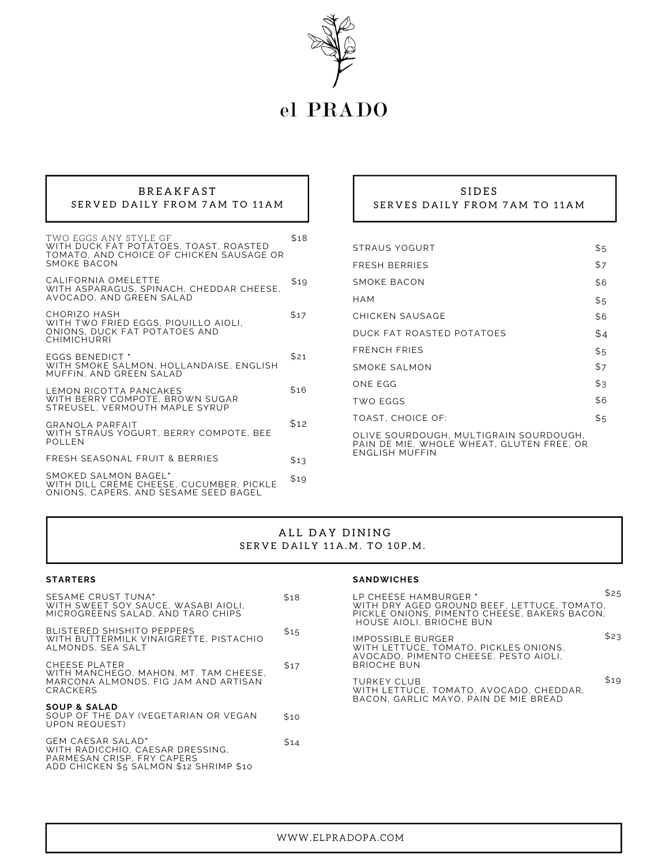

# el PRADO

## **BREAKFAST** SERVED DAILY FROM 7AM TO 11AM

| TWO EGGS ANY STYLE GF<br>WITH DUCK FAT POTATOES, TOAST, ROASTED<br>TOMATO, AND CHOICE OF CHICKEN SAUSAGE OR<br>SMOKE BACON | \$18 |
|----------------------------------------------------------------------------------------------------------------------------|------|
| CALIFORNIA OMELETTE<br>WITH ASPARAGUS, SPINACH, CHEDDAR CHEESE,<br>AVOCADO. AND GREEN SALAD                                | \$19 |
| CHORIZO HASH<br>WITH TWO FRIED EGGS, PIQUILLO AIOLI,<br>ONIONS, DUCK FAT POTATOES AND<br>CHIMICHURRI                       | \$17 |
| <b>EGGS BENEDICT *</b><br>WITH SMOKE SALMON, HOLLANDAISE, ENGLISH<br>MUFFIN. AND GREEN SALAD                               | \$21 |
| LEMON RICOTTA PANCAKES<br>WITH BERRY COMPOTE, BROWN SUGAR<br>STREUSEL, VERMOUTH MAPLE SYRUP                                | \$16 |
| GRANOLA PARFAIT<br>WITH STRAUS YOGURT, BERRY COMPOTE, BEE<br><b>POLLEN</b>                                                 | \$12 |
| FRESH SEASONAL FRUIT & BERRIES                                                                                             | \$13 |
| SMOKED SALMON BAGEL*<br>WITH DILL CREME CHEESE, CUCUMBER, PICKLE<br>ONIONS, CAPERS, AND SESAME SEED BAGEL                  | \$19 |

### S I D E S SERVES DAILY FROM 7AM TO 11AM

| STRAUS YOGURT                                                                                         | \$5 |
|-------------------------------------------------------------------------------------------------------|-----|
| FRESH BERRIES                                                                                         | \$7 |
| SMOKE BACON                                                                                           | \$6 |
| НАМ                                                                                                   | \$5 |
| CHICKEN SAUSAGE                                                                                       | \$6 |
| DUCK FAT ROASTED POTATOES                                                                             | \$4 |
| FRENCH FRIES                                                                                          | \$5 |
| SMOKE SALMON                                                                                          | \$7 |
| ONE EGG                                                                                               | \$3 |
| TWO EGGS                                                                                              | \$6 |
| TOAST. CHOICE OF:                                                                                     | \$5 |
| OLIVE SOURDOUGH. MULTIGRAIN SOURDOUGH.<br>PAIN DE MIE, WHOLE WHEAT, GLUTEN FREE, OR<br>ENGLISH MUFFIN |     |

## ALL DAY DINING SERVE DAILY 11A.M. TO 10P.M.

#### **STARTERS**

| SESAME CRUST TUNA*<br>WITH SWEET SOY SAUCE. WASABI AIOLI.<br>MICROGREENS SALAD, AND TARO CHIPS                                        | \$18 |
|---------------------------------------------------------------------------------------------------------------------------------------|------|
| BLISTERED SHISHITO PEPPERS<br>WITH BUTTERMILK VINAIGRETTE, PISTACHIO<br>ALMONDS. SEA SALT                                             | \$15 |
| CHEESE PLATER<br>WITH MANCHEGO, MAHON, MT. TAM CHEESE,<br>MARCONA ALMONDS. FIG JAM AND ARTISAN<br>CRACKERS                            | \$17 |
| <b>SOUP &amp; SALAD</b><br>SOUP OF THE DAY (VEGETARIAN OR VEGAN<br>UPON REQUEST)                                                      | \$10 |
| <b>GEM CAESAR SALAD'</b><br>WITH RADICCHIO, CAESAR DRESSING.<br>PARMESAN CRISP, FRY CAPERS<br>ADD CHICKEN \$5 SALMON \$12 SHRIMP \$10 | \$14 |

### **SANDWICHES**

| LP CHEESE HAMBURGER *<br>WITH DRY AGED GROUND BEEF, LETTUCE, TOMATO,<br>PICKLE ONIONS, PIMENTO CHEESE, BAKERS BACON.<br>HOUSE AIOLI. BRIOCHE BUN |      |
|--------------------------------------------------------------------------------------------------------------------------------------------------|------|
| IMPOSSIBLE BURGER<br>WITH LETTUCE. TOMATO. PICKLES ONIONS.<br>AVOCADO, PIMENTO CHEESE, PESTO AIOLI.<br><b>BRIOCHE BUN</b>                        | \$23 |
| TURKEY CLUB<br>WITH LETTUCE, TOMATO, AVOCADO, CHEDDAR,<br>BACON, GARLIC MAYO, PAIN DE MIE BREAD                                                  | \$19 |